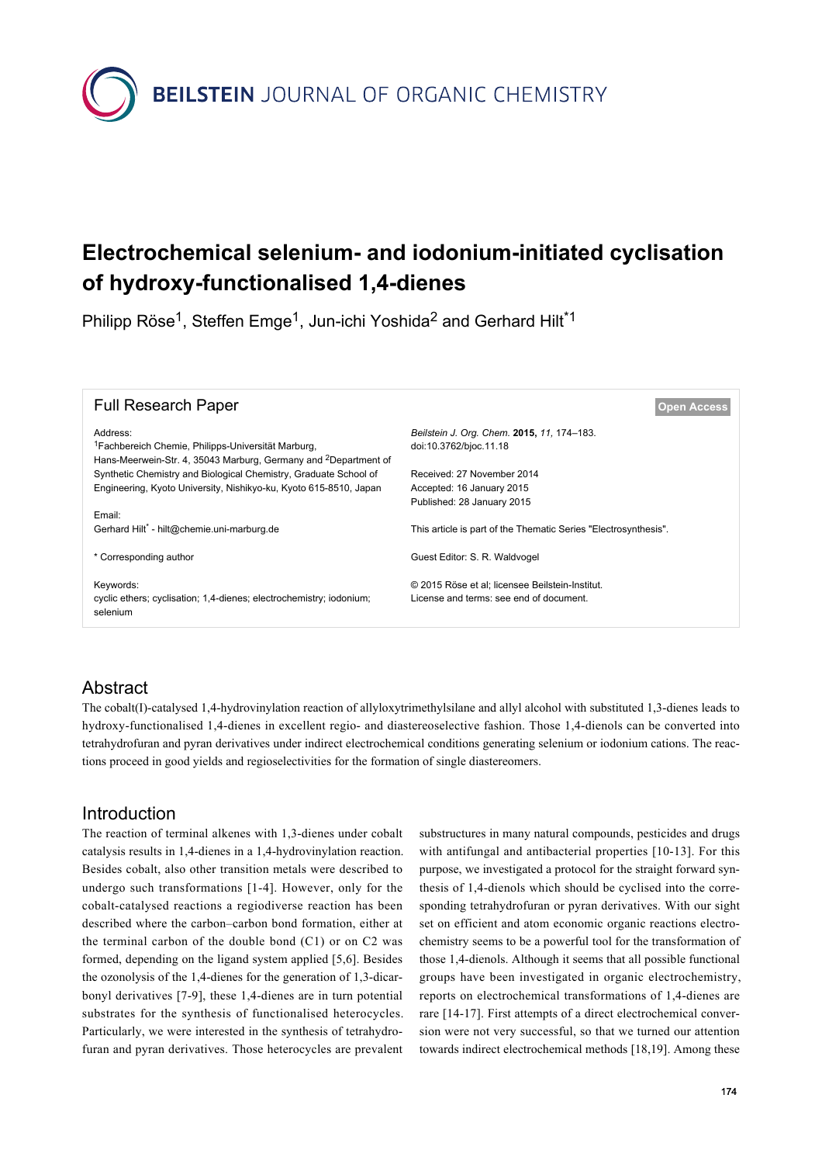**BEILSTEIN** JOURNAL OF ORGANIC CHEMISTRY

# **Electrochemical selenium- and iodonium-initiated cyclisation of hydroxy-functionalised 1,4-dienes**

Philipp Röse<sup>1</sup>, Steffen Emge<sup>1</sup>, Jun-ichi Yoshida<sup>2</sup> and Gerhard Hilt<sup>\*1</sup>

| <b>Full Research Paper</b>                                                                                                                                | <b>Open Access</b>                                                                         |
|-----------------------------------------------------------------------------------------------------------------------------------------------------------|--------------------------------------------------------------------------------------------|
| Address:<br><sup>1</sup> Fachbereich Chemie, Philipps-Universität Marburg,<br>Hans-Meerwein-Str. 4, 35043 Marburg, Germany and <sup>2</sup> Department of | Beilstein J. Org. Chem. 2015, 11, 174-183.<br>doi:10.3762/bjoc.11.18                       |
| Synthetic Chemistry and Biological Chemistry, Graduate School of                                                                                          | Received: 27 November 2014                                                                 |
| Engineering, Kyoto University, Nishikyo-ku, Kyoto 615-8510, Japan                                                                                         | Accepted: 16 January 2015                                                                  |
|                                                                                                                                                           | Published: 28 January 2015                                                                 |
| Email:<br>Gerhard Hilt <sup>*</sup> - hilt@chemie.uni-marburg.de                                                                                          | This article is part of the Thematic Series "Electrosynthesis".                            |
| * Corresponding author                                                                                                                                    | Guest Editor: S. R. Waldvogel                                                              |
| Keywords:<br>cyclic ethers; cyclisation; 1,4-dienes; electrochemistry; iodonium;<br>selenium                                                              | © 2015 Röse et al; licensee Beilstein-Institut.<br>License and terms: see end of document. |

### Abstract

The cobalt(I)-catalysed 1,4-hydrovinylation reaction of allyloxytrimethylsilane and allyl alcohol with substituted 1,3-dienes leads to hydroxy-functionalised 1,4-dienes in excellent regio- and diastereoselective fashion. Those 1,4-dienols can be converted into tetrahydrofuran and pyran derivatives under indirect electrochemical conditions generating selenium or iodonium cations. The reactions proceed in good yields and regioselectivities for the formation of single diastereomers.

#### Introduction

The reaction of terminal alkenes with 1,3-dienes under cobalt catalysis results in 1,4-dienes in a 1,4-hydrovinylation reaction. Besides cobalt, also other transition metals were described to undergo such transformations [\[1-4\]](#page-8-0). However, only for the cobalt-catalysed reactions a regiodiverse reaction has been described where the carbon–carbon bond formation, either at the terminal carbon of the double bond (C1) or on C2 was formed, depending on the ligand system applied [\[5,6\]](#page-8-1). Besides the ozonolysis of the 1,4-dienes for the generation of 1,3-dicarbonyl derivatives [\[7-9\],](#page-8-2) these 1,4-dienes are in turn potential substrates for the synthesis of functionalised heterocycles. Particularly, we were interested in the synthesis of tetrahydrofuran and pyran derivatives. Those heterocycles are prevalent

substructures in many natural compounds, pesticides and drugs with antifungal and antibacterial properties [\[10-13\]](#page-8-3). For this purpose, we investigated a protocol for the straight forward synthesis of 1,4-dienols which should be cyclised into the corresponding tetrahydrofuran or pyran derivatives. With our sight set on efficient and atom economic organic reactions electrochemistry seems to be a powerful tool for the transformation of those 1,4-dienols. Although it seems that all possible functional groups have been investigated in organic electrochemistry, reports on electrochemical transformations of 1,4-dienes are rare [\[14-17\]](#page-8-4). First attempts of a direct electrochemical conversion were not very successful, so that we turned our attention towards indirect electrochemical methods [\[18,19\]](#page-8-5). Among these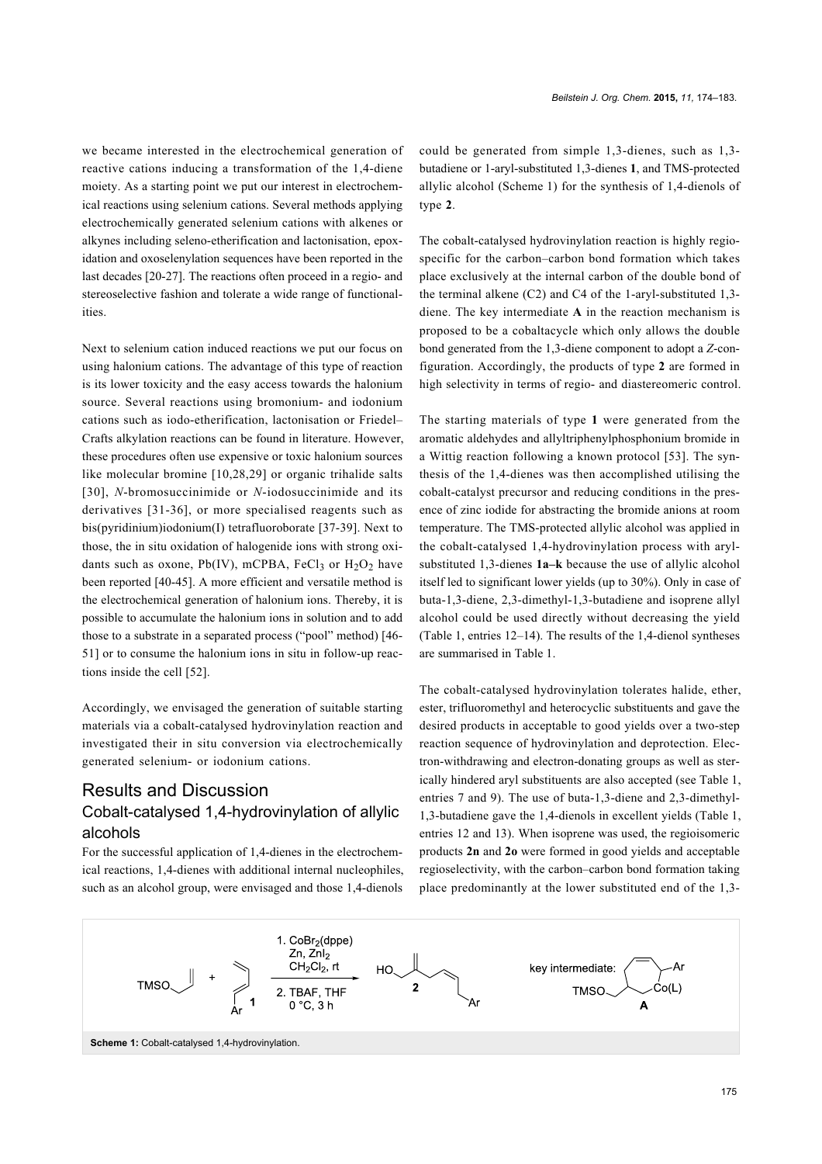we became interested in the electrochemical generation of reactive cations inducing a transformation of the 1,4-diene moiety. As a starting point we put our interest in electrochemical reactions using selenium cations. Several methods applying electrochemically generated selenium cations with alkenes or alkynes including seleno-etherification and lactonisation, epoxidation and oxoselenylation sequences have been reported in the last decades [\[20-27\]](#page-8-6). The reactions often proceed in a regio- and stereoselective fashion and tolerate a wide range of functionalities.

Next to selenium cation induced reactions we put our focus on using halonium cations. The advantage of this type of reaction is its lower toxicity and the easy access towards the halonium source. Several reactions using bromonium- and iodonium cations such as iodo-etherification, lactonisation or Friedel– Crafts alkylation reactions can be found in literature. However, these procedures often use expensive or toxic halonium sources like molecular bromine [\[10,28,29\]](#page-8-3) or organic trihalide salts [\[30\]](#page-9-0), *N*-bromosuccinimide or *N*-iodosuccinimide and its derivatives [\[31-36\]](#page-9-1), or more specialised reagents such as bis(pyridinium)iodonium(I) tetrafluoroborate [\[37-39\]](#page-9-2). Next to those, the in situ oxidation of halogenide ions with strong oxidants such as oxone, Pb(IV), mCPBA, FeCl<sub>3</sub> or  $H_2O_2$  have been reported [\[40-45\]](#page-9-3). A more efficient and versatile method is the electrochemical generation of halonium ions. Thereby, it is possible to accumulate the halonium ions in solution and to add those to a substrate in a separated process ("pool" method) [\[46-](#page-9-4) [51\]](#page-9-4) or to consume the halonium ions in situ in follow-up reactions inside the cell [\[52\].](#page-9-5)

Accordingly, we envisaged the generation of suitable starting materials via a cobalt-catalysed hydrovinylation reaction and investigated their in situ conversion via electrochemically generated selenium- or iodonium cations.

### Results and Discussion Cobalt-catalysed 1,4-hydrovinylation of allylic alcohols

For the successful application of 1,4-dienes in the electrochemical reactions, 1,4-dienes with additional internal nucleophiles, such as an alcohol group, were envisaged and those 1,4-dienols

could be generated from simple 1,3-dienes, such as 1,3 butadiene or 1-aryl-substituted 1,3-dienes **1**, and TMS-protected allylic alcohol ([Scheme 1](#page-1-0)) for the synthesis of 1,4-dienols of type **2**.

The cobalt-catalysed hydrovinylation reaction is highly regiospecific for the carbon–carbon bond formation which takes place exclusively at the internal carbon of the double bond of the terminal alkene (C2) and C4 of the 1-aryl-substituted 1,3 diene. The key intermediate **A** in the reaction mechanism is proposed to be a cobaltacycle which only allows the double bond generated from the 1,3-diene component to adopt a *Z*-configuration. Accordingly, the products of type **2** are formed in high selectivity in terms of regio- and diastereomeric control.

The starting materials of type **1** were generated from the aromatic aldehydes and allyltriphenylphosphonium bromide in a Wittig reaction following a known protocol [\[53\]](#page-9-6). The synthesis of the 1,4-dienes was then accomplished utilising the cobalt-catalyst precursor and reducing conditions in the presence of zinc iodide for abstracting the bromide anions at room temperature. The TMS-protected allylic alcohol was applied in the cobalt-catalysed 1,4-hydrovinylation process with arylsubstituted 1,3-dienes **1a–k** because the use of allylic alcohol itself led to significant lower yields (up to 30%). Only in case of buta-1,3-diene, 2,3-dimethyl-1,3-butadiene and isoprene allyl alcohol could be used directly without decreasing the yield ([Table 1](#page-2-0), entries 12–14). The results of the 1,4-dienol syntheses are summarised in [Table 1.](#page-2-0)

The cobalt-catalysed hydrovinylation tolerates halide, ether, ester, trifluoromethyl and heterocyclic substituents and gave the desired products in acceptable to good yields over a two-step reaction sequence of hydrovinylation and deprotection. Electron-withdrawing and electron-donating groups as well as sterically hindered aryl substituents are also accepted (see [Table 1](#page-2-0), entries 7 and 9). The use of buta-1,3-diene and 2,3-dimethyl-1,3-butadiene gave the 1,4-dienols in excellent yields [\(Table 1](#page-2-0), entries 12 and 13). When isoprene was used, the regioisomeric products **2n** and **2o** were formed in good yields and acceptable regioselectivity, with the carbon–carbon bond formation taking place predominantly at the lower substituted end of the 1,3-

<span id="page-1-0"></span>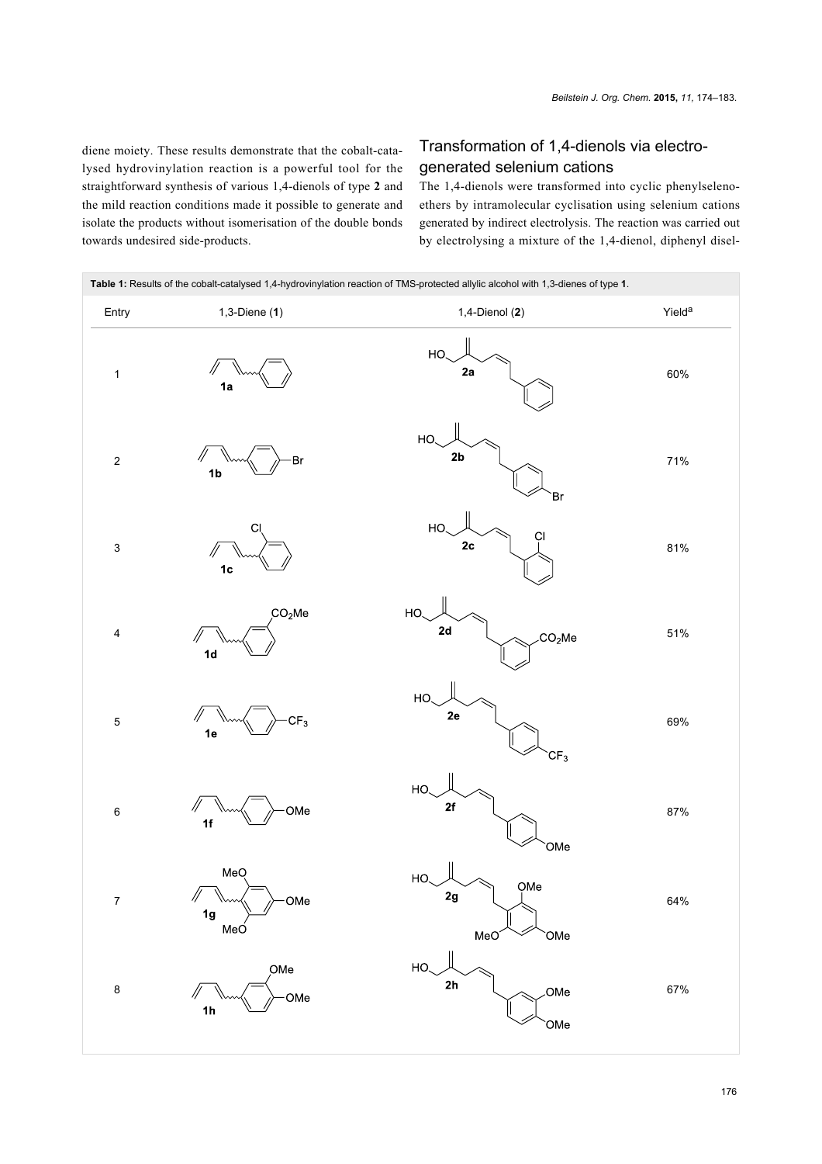diene moiety. These results demonstrate that the cobalt-catalysed hydrovinylation reaction is a powerful tool for the straightforward synthesis of various 1,4-dienols of type **2** and the mild reaction conditions made it possible to generate and isolate the products without isomerisation of the double bonds towards undesired side-products.

#### Transformation of 1,4-dienols via electrogenerated selenium cations

The 1,4-dienols were transformed into cyclic phenylselenoethers by intramolecular cyclisation using selenium cations generated by indirect electrolysis. The reaction was carried out by electrolysing a mixture of the 1,4-dienol, diphenyl disel-

<span id="page-2-0"></span>

| Table 1: Results of the cobalt-catalysed 1,4-hydrovinylation reaction of TMS-protected allylic alcohol with 1,3-dienes of type 1. |                                            |                                                   |                    |  |  |  |
|-----------------------------------------------------------------------------------------------------------------------------------|--------------------------------------------|---------------------------------------------------|--------------------|--|--|--|
| Entry                                                                                                                             | $1,3$ -Diene $(1)$                         | $1,4$ -Dienol $(2)$                               | Yield <sup>a</sup> |  |  |  |
| $\mathbf{1}$                                                                                                                      | 1a                                         | HO.<br>2a                                         | 60%                |  |  |  |
| $\mathbf 2$                                                                                                                       | 11<br>Br<br>1 <sub>b</sub>                 | HO.<br>$2\mathsf{b}$<br>Br                        | 71%                |  |  |  |
| $\ensuremath{\mathsf{3}}$                                                                                                         | CI<br>1 <sub>c</sub>                       | HO.<br>ÇI<br>$2\mathtt{c}$                        | 81%                |  |  |  |
| $\overline{\mathbf{4}}$                                                                                                           | CO <sub>2</sub> Me<br>11<br>1 <sub>d</sub> | HO.<br>2d<br>.CO <sub>2</sub> Me                  | 51%                |  |  |  |
| $\mathbf 5$                                                                                                                       | CF <sub>3</sub><br>11<br>1e                | HO<br>2e<br>CF <sub>3</sub>                       | 69%                |  |  |  |
| $\,6\,$                                                                                                                           | $\sqrt{}$<br>OMe<br>1f                     | HO.<br>2f<br>OMe                                  | 87%                |  |  |  |
| $\overline{7}$                                                                                                                    | MeQ<br>OMe<br>Ŋ<br>1g<br>MeO               | HO<br>OMe<br>2g<br>MeO <sup>®</sup><br><b>OMe</b> | 64%                |  |  |  |
| $\bf 8$                                                                                                                           | OMe<br>OMe<br>1 <sub>h</sub>               | HO<br>2h<br>OMe<br>OMe                            | 67%                |  |  |  |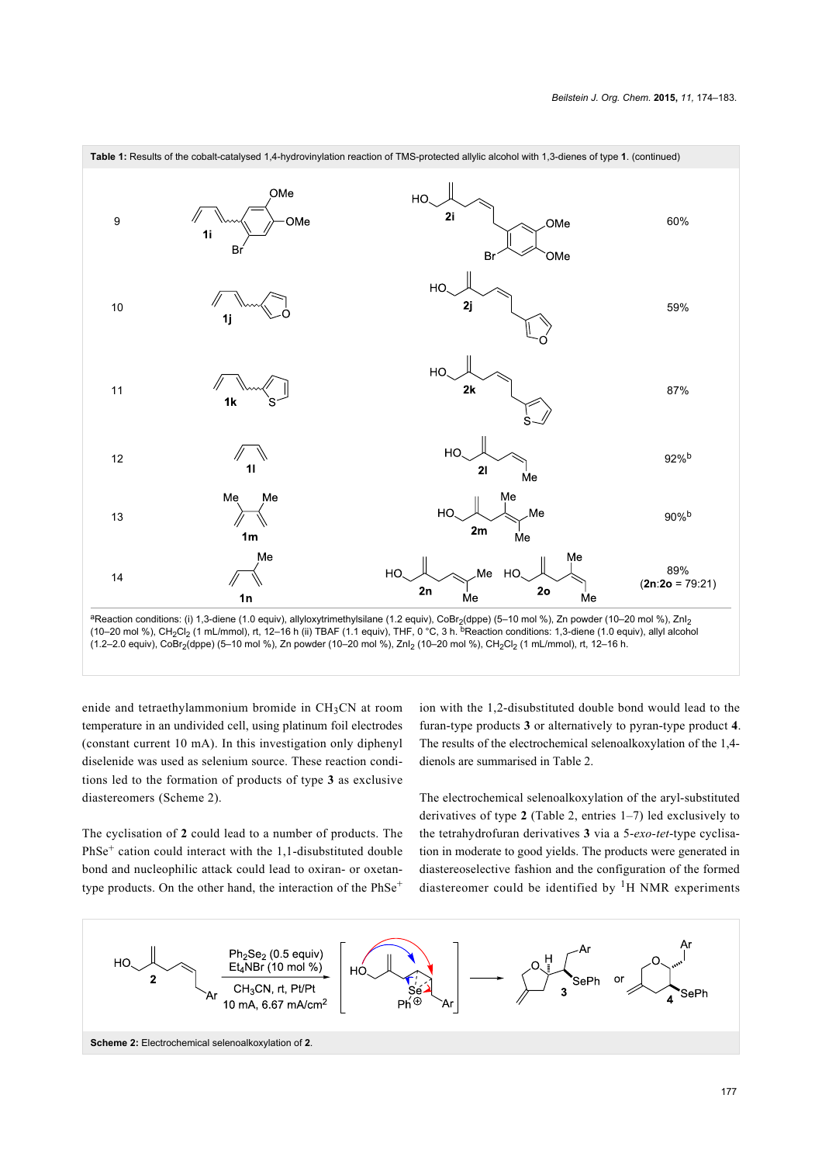



(constant current 10 mA). In this investigation only diphenyl diselenide was used as selenium source. These reaction conditions led to the formation of products of type **3** as exclusive diastereomers [\(Scheme 2](#page-3-0)).

The cyclisation of **2** could lead to a number of products. The PhSe<sup>+</sup> cation could interact with the 1,1-disubstituted double bond and nucleophilic attack could lead to oxiran- or oxetantype products. On the other hand, the interaction of the PhSe<sup>+</sup>

ion with the 1,2-disubstituted double bond would lead to the furan-type products **3** or alternatively to pyran-type product **4**. The results of the electrochemical selenoalkoxylation of the 1,4 dienols are summarised in [Table 2](#page-4-0).

The electrochemical selenoalkoxylation of the aryl-substituted derivatives of type **2** ([Table 2,](#page-4-0) entries 1–7) led exclusively to the tetrahydrofuran derivatives **3** via a 5-*exo-tet*-type cyclisation in moderate to good yields. The products were generated in diastereoselective fashion and the configuration of the formed diastereomer could be identified by  ${}^{1}H$  NMR experiments

<span id="page-3-0"></span>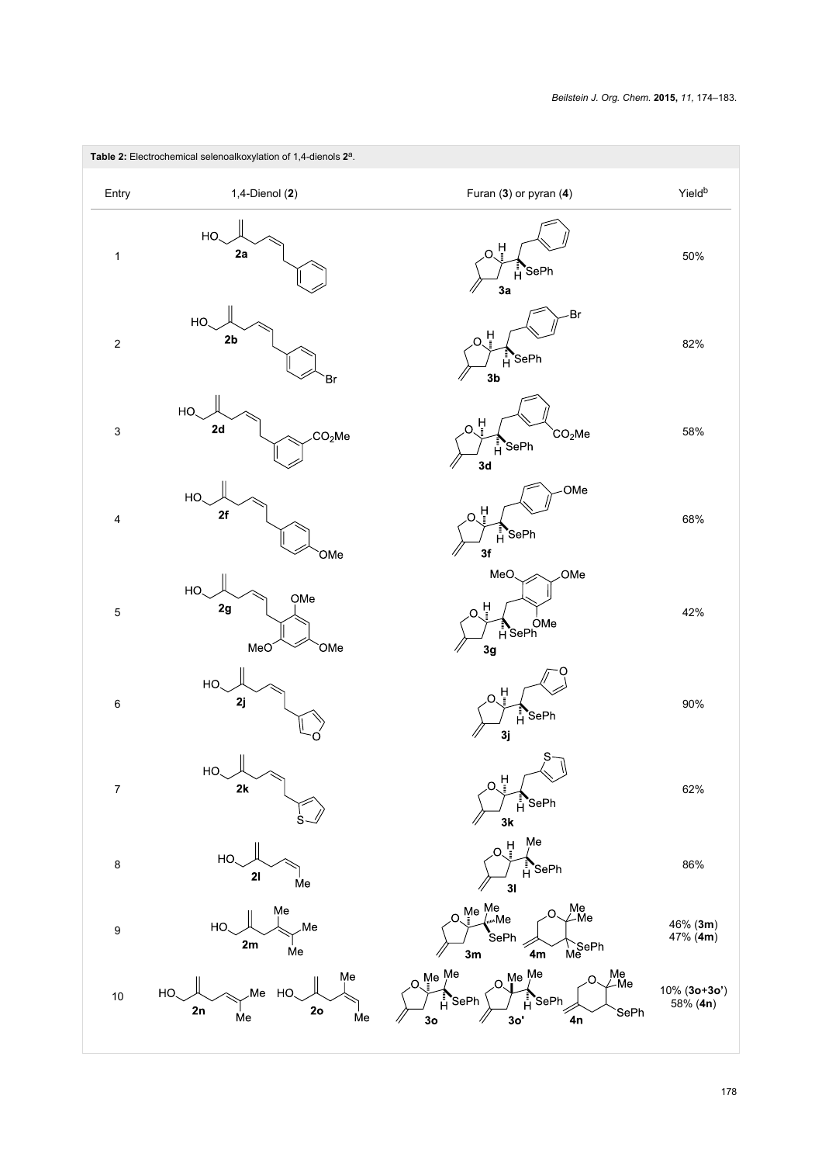<span id="page-4-0"></span>

| Table 2: Electrochemical selenoalkoxylation of 1,4-dienols 2 <sup>a</sup> . |                                                                  |                                                                                                                                                                             |                             |  |  |
|-----------------------------------------------------------------------------|------------------------------------------------------------------|-----------------------------------------------------------------------------------------------------------------------------------------------------------------------------|-----------------------------|--|--|
| Entry                                                                       | 1,4-Dienol (2)                                                   | Furan (3) or pyran (4)                                                                                                                                                      | Yield <sup>b</sup>          |  |  |
| $\mathbf{1}$                                                                | HO.<br>2a                                                        | Ĥ<br>O<br>$H^{\text{SePh}}$<br>3a                                                                                                                                           | 50%                         |  |  |
| $\boldsymbol{2}$                                                            | HO.<br>2 <sub>b</sub><br>Br                                      | Br-<br>Å<br>O.<br>$H^{\bullet}$ SePh<br>3 <sub>b</sub>                                                                                                                      | 82%                         |  |  |
| 3                                                                           | HO.<br>2d<br>CO <sub>2</sub> Me                                  | 보<br>റ<br>CO <sub>2</sub> Me<br>$H^{\text{SePh}}$<br>3d                                                                                                                     | 58%                         |  |  |
| 4                                                                           | HO.<br>2f<br>OMe                                                 | OMe<br>Ħ<br>Ĥ<br>SePh <sup>*</sup><br>3f                                                                                                                                    | 68%                         |  |  |
| 5                                                                           | HO.<br>OMe<br>$2\mathbf{g}$<br>MeO<br><b>OMe</b>                 | MeO<br>OMe<br>۲<br>ا<br>Ne OMe<br>HSePh<br>3g                                                                                                                               | 42%                         |  |  |
| 6                                                                           | HO.<br>2j                                                        | 부<br>$H^{\bullet}$ SePh<br>3j                                                                                                                                               | 90%                         |  |  |
| $\overline{7}$                                                              | $\bigcup$<br>HO.<br>2k                                           | S<br>Å<br>SePh <sup>*</sup><br>Å<br>3k                                                                                                                                      | 62%                         |  |  |
| $\bf 8$                                                                     | HO<br>21<br>Me                                                   | Me<br>Ĥ.<br>'SePh<br>31                                                                                                                                                     | 86%                         |  |  |
| $\boldsymbol{9}$                                                            | Me<br>Me.<br>HO<br>2m<br>Me                                      | Me <sup>Me</sup><br><sub>.</sub> Me<br>Me<br>∠Me<br><b>S</b> ePh<br>TSePh<br>Me<br>3m<br>4m                                                                                 | 46% (3m)<br>47% (4m)        |  |  |
| 10                                                                          | Me<br>Me<br>HO.<br>HO<br>2 <sub>o</sub><br>2n<br><b>Me</b><br>Me | Me<br>∠Me<br>$M_e$ <sup>Me</sup><br>${\sf Me}\stackrel{\textsf{Me}}{'}$<br>O.<br>$\Omega$<br><b>S</b> ePh<br><b>S</b> ePh<br>SePh<br>4n<br>3 <sub>o</sub><br>3 <sub>o</sub> | $10\%$ (3o+3o')<br>58% (4n) |  |  |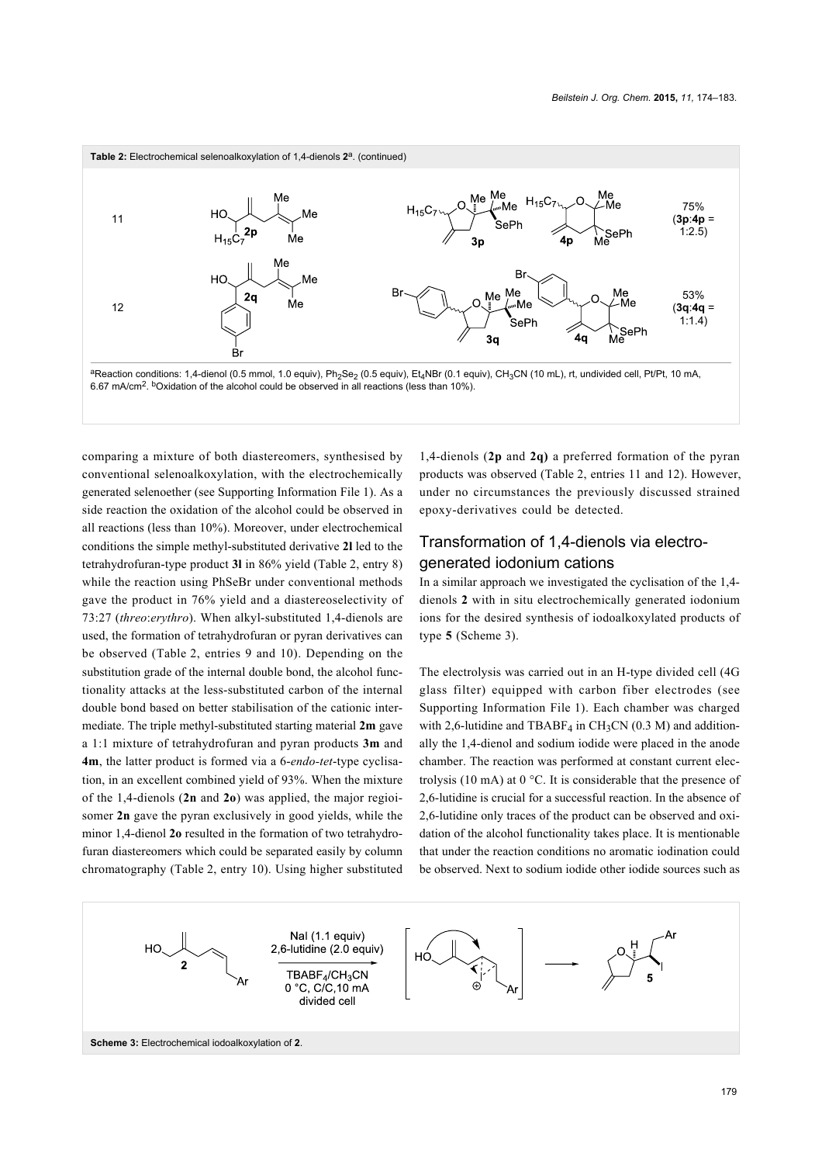

comparing a mixture of both diastereomers, synthesised by conventional selenoalkoxylation, with the electrochemically generated selenoether (see [Supporting Information File 1](#page-8-7)). As a side reaction the oxidation of the alcohol could be observed in all reactions (less than 10%). Moreover, under electrochemical conditions the simple methyl-substituted derivative **2l** led to the tetrahydrofuran-type product **3l** in 86% yield [\(Table 2,](#page-4-0) entry 8) while the reaction using PhSeBr under conventional methods gave the product in 76% yield and a diastereoselectivity of 73:27 (*threo*:*erythro*). When alkyl-substituted 1,4-dienols are used, the formation of tetrahydrofuran or pyran derivatives can be observed ([Table 2](#page-4-0), entries 9 and 10). Depending on the substitution grade of the internal double bond, the alcohol functionality attacks at the less-substituted carbon of the internal double bond based on better stabilisation of the cationic intermediate. The triple methyl-substituted starting material **2m** gave a 1:1 mixture of tetrahydrofuran and pyran products **3m** and **4m**, the latter product is formed via a 6-*endo-tet*-type cyclisation, in an excellent combined yield of 93%. When the mixture of the 1,4-dienols (**2n** and **2o**) was applied, the major regioisomer **2n** gave the pyran exclusively in good yields, while the minor 1,4-dienol **2o** resulted in the formation of two tetrahydrofuran diastereomers which could be separated easily by column chromatography [\(Table 2](#page-4-0), entry 10). Using higher substituted

1,4-dienols (**2p** and **2q)** a preferred formation of the pyran products was observed [\(Table 2](#page-4-0), entries 11 and 12). However, under no circumstances the previously discussed strained epoxy-derivatives could be detected.

### Transformation of 1,4-dienols via electrogenerated iodonium cations

In a similar approach we investigated the cyclisation of the 1,4 dienols **2** with in situ electrochemically generated iodonium ions for the desired synthesis of iodoalkoxylated products of type **5** [\(Scheme 3](#page-5-0)).

The electrolysis was carried out in an H-type divided cell (4G glass filter) equipped with carbon fiber electrodes (see [Supporting Information File 1](#page-8-7)). Each chamber was charged with 2,6-lutidine and TBABF<sub>4</sub> in CH<sub>3</sub>CN (0.3 M) and additionally the 1,4-dienol and sodium iodide were placed in the anode chamber. The reaction was performed at constant current electrolysis (10 mA) at 0 °C. It is considerable that the presence of 2,6-lutidine is crucial for a successful reaction. In the absence of 2,6-lutidine only traces of the product can be observed and oxidation of the alcohol functionality takes place. It is mentionable that under the reaction conditions no aromatic iodination could be observed. Next to sodium iodide other iodide sources such as

<span id="page-5-0"></span>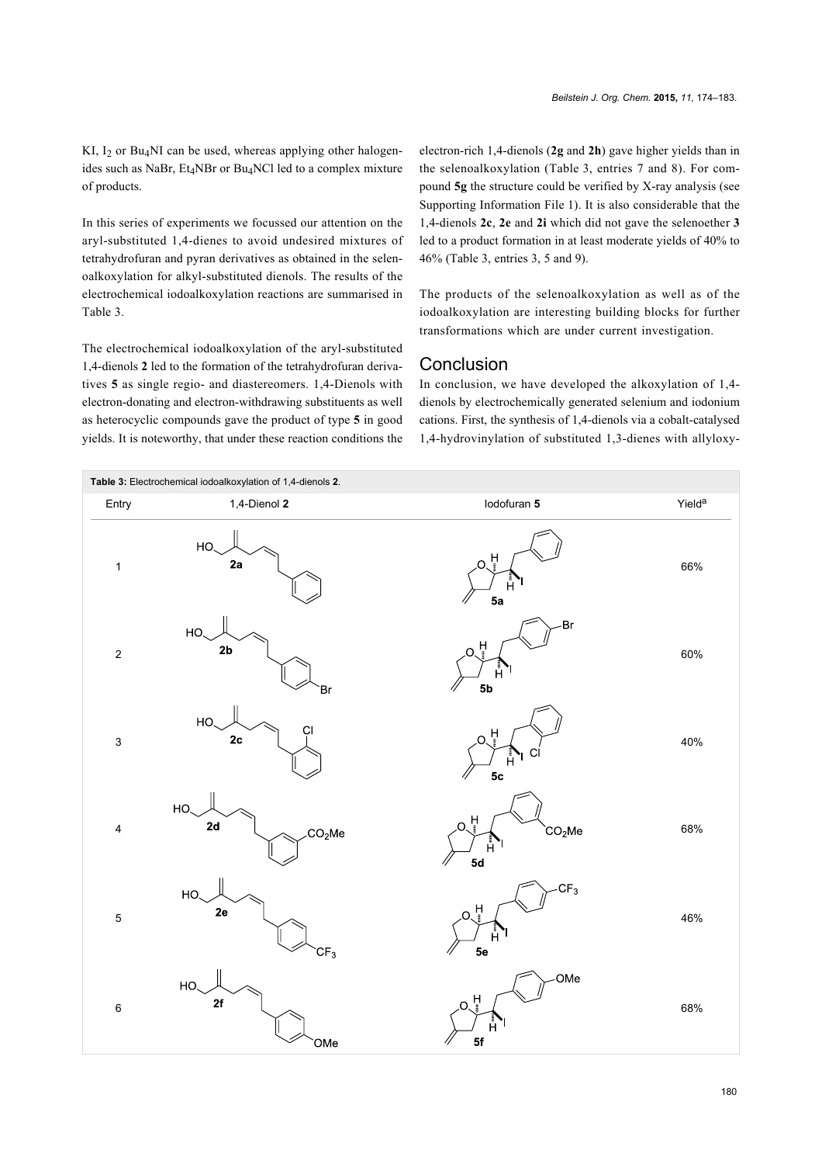KI,  $I_2$  or Bu<sub>4</sub>NI can be used, whereas applying other halogenides such as NaBr, Et<sub>4</sub>NBr or Bu<sub>4</sub>NCl led to a complex mixture of products.

In this series of experiments we focussed our attention on the aryl-substituted 1,4-dienes to avoid undesired mixtures of tetrahydrofuran and pyran derivatives as obtained in the selenoalkoxylation for alkyl-substituted dienols. The results of the electrochemical iodoalkoxylation reactions are summarised in [Table 3](#page-6-0).

The electrochemical iodoalkoxylation of the aryl-substituted 1,4-dienols **2** led to the formation of the tetrahydrofuran derivatives **5** as single regio- and diastereomers. 1,4-Dienols with electron-donating and electron-withdrawing substituents as well as heterocyclic compounds gave the product of type **5** in good yields. It is noteworthy, that under these reaction conditions the

electron-rich 1,4-dienols (**2g** and **2h**) gave higher yields than in the selenoalkoxylation ([Table 3](#page-6-0), entries 7 and 8). For compound **5g** the structure could be verified by X-ray analysis (see [Supporting Information File 1](#page-8-7)). It is also considerable that the 1,4-dienols **2c**, **2e** and **2i** which did not gave the selenoether **3** led to a product formation in at least moderate yields of 40% to 46% ([Table 3](#page-6-0), entries 3, 5 and 9).

The products of the selenoalkoxylation as well as of the iodoalkoxylation are interesting building blocks for further transformations which are under current investigation.

#### Conclusion

In conclusion, we have developed the alkoxylation of 1,4 dienols by electrochemically generated selenium and iodonium cations. First, the synthesis of 1,4-dienols via a cobalt-catalysed 1,4-hydrovinylation of substituted 1,3-dienes with allyloxy-

<span id="page-6-0"></span>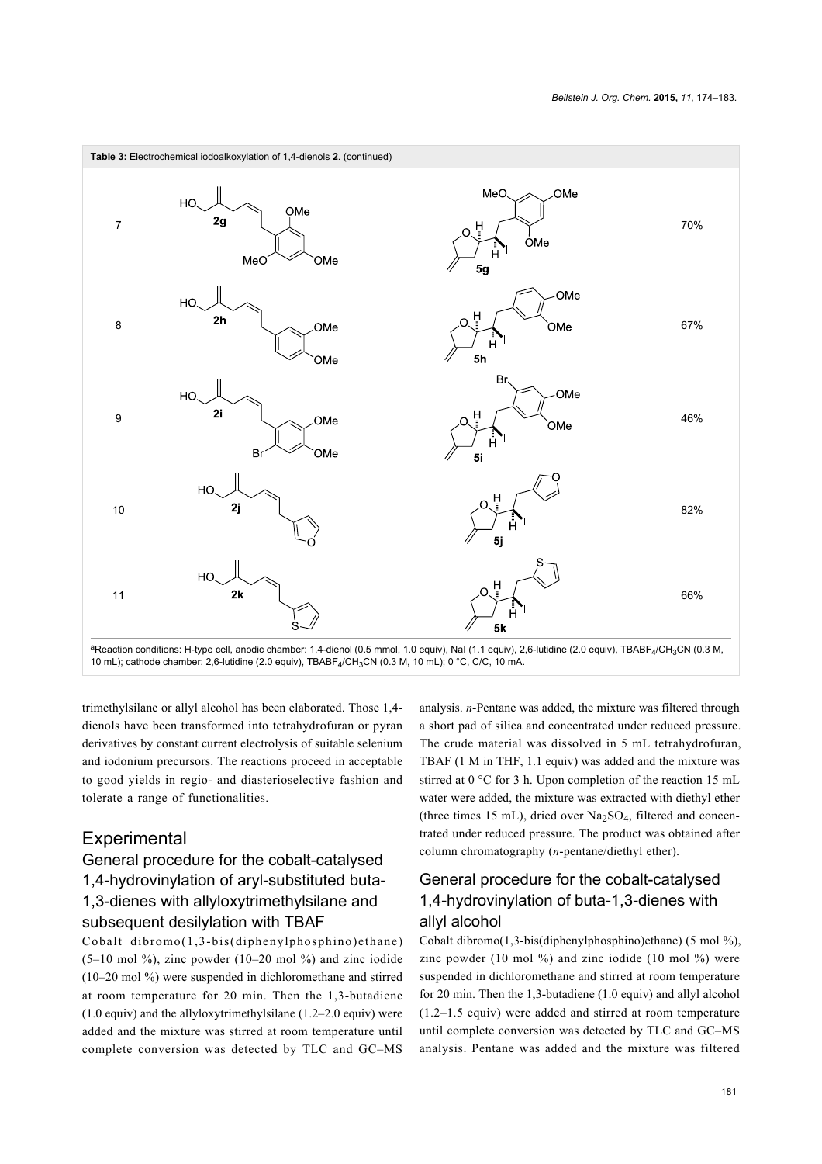

trimethylsilane or allyl alcohol has been elaborated. Those 1,4 dienols have been transformed into tetrahydrofuran or pyran derivatives by constant current electrolysis of suitable selenium and iodonium precursors. The reactions proceed in acceptable to good yields in regio- and diasterioselective fashion and tolerate a range of functionalities.

### **Experimental**

## General procedure for the cobalt-catalysed 1,4-hydrovinylation of aryl-substituted buta-1,3-dienes with allyloxytrimethylsilane and subsequent desilylation with TBAF

Cobalt dibromo(1,3-bis(diphenylphosphino)ethane)  $(5-10 \text{ mol } %)$ , zinc powder  $(10-20 \text{ mol } %)$  and zinc iodide (10–20 mol %) were suspended in dichloromethane and stirred at room temperature for 20 min. Then the 1,3-butadiene (1.0 equiv) and the allyloxytrimethylsilane (1.2–2.0 equiv) were added and the mixture was stirred at room temperature until complete conversion was detected by TLC and GC–MS

analysis. *n*-Pentane was added, the mixture was filtered through a short pad of silica and concentrated under reduced pressure. The crude material was dissolved in 5 mL tetrahydrofuran, TBAF (1 M in THF, 1.1 equiv) was added and the mixture was stirred at 0 °C for 3 h. Upon completion of the reaction 15 mL water were added, the mixture was extracted with diethyl ether (three times 15 mL), dried over  $Na<sub>2</sub>SO<sub>4</sub>$ , filtered and concentrated under reduced pressure. The product was obtained after column chromatography (*n*-pentane/diethyl ether).

### General procedure for the cobalt-catalysed 1,4-hydrovinylation of buta-1,3-dienes with allyl alcohol

Cobalt dibromo(1,3-bis(diphenylphosphino)ethane) (5 mol %), zinc powder (10 mol  $\%$ ) and zinc iodide (10 mol  $\%$ ) were suspended in dichloromethane and stirred at room temperature for 20 min. Then the 1,3-butadiene (1.0 equiv) and allyl alcohol (1.2–1.5 equiv) were added and stirred at room temperature until complete conversion was detected by TLC and GC–MS analysis. Pentane was added and the mixture was filtered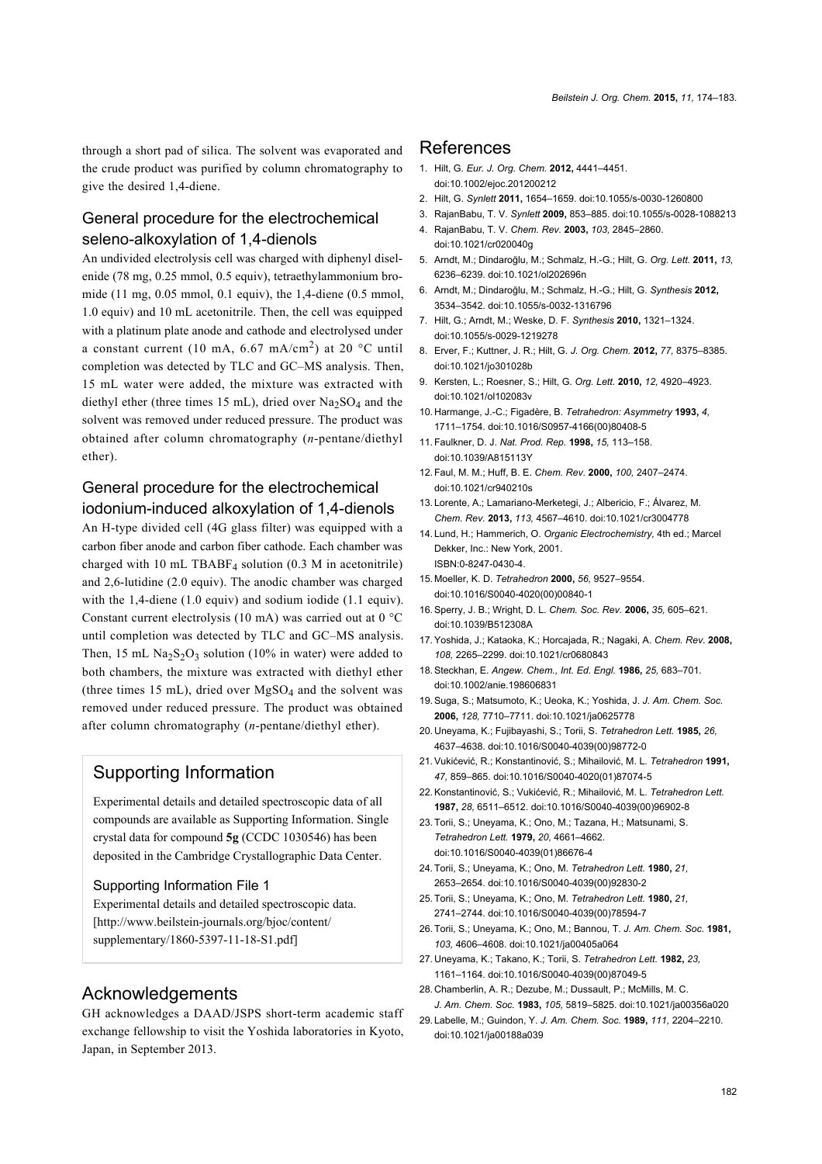through a short pad of silica. The solvent was evaporated and the crude product was purified by column chromatography to give the desired 1,4-diene.

#### General procedure for the electrochemical seleno-alkoxylation of 1,4-dienols

An undivided electrolysis cell was charged with diphenyl diselenide (78 mg, 0.25 mmol, 0.5 equiv), tetraethylammonium bromide (11 mg, 0.05 mmol, 0.1 equiv), the 1,4-diene (0.5 mmol, 1.0 equiv) and 10 mL acetonitrile. Then, the cell was equipped with a platinum plate anode and cathode and electrolysed under a constant current (10 mA, 6.67 mA/cm<sup>2</sup>) at 20 °C until completion was detected by TLC and GC–MS analysis. Then, 15 mL water were added, the mixture was extracted with diethyl ether (three times 15 mL), dried over  $Na<sub>2</sub>SO<sub>4</sub>$  and the solvent was removed under reduced pressure. The product was obtained after column chromatography (*n*-pentane/diethyl ether).

#### General procedure for the electrochemical iodonium-induced alkoxylation of 1,4-dienols

An H-type divided cell (4G glass filter) was equipped with a carbon fiber anode and carbon fiber cathode. Each chamber was charged with 10 mL TBABF4 solution (0.3 M in acetonitrile) and 2,6-lutidine (2.0 equiv). The anodic chamber was charged with the 1,4-diene (1.0 equiv) and sodium iodide (1.1 equiv). Constant current electrolysis (10 mA) was carried out at 0 °C until completion was detected by TLC and GC–MS analysis. Then, 15 mL  $\text{Na}_2\text{S}_2\text{O}_3$  solution (10% in water) were added to both chambers, the mixture was extracted with diethyl ether (three times 15 mL), dried over  $MgSO<sub>4</sub>$  and the solvent was removed under reduced pressure. The product was obtained after column chromatography (*n*-pentane/diethyl ether).

#### Supporting Information

Experimental details and detailed spectroscopic data of all compounds are available as Supporting Information. Single crystal data for compound **5g** (CCDC 1030546) has been deposited in the Cambridge Crystallographic Data Center.

#### <span id="page-8-7"></span>Supporting Information File 1

Experimental details and detailed spectroscopic data. [\[http://www.beilstein-journals.org/bjoc/content/](http://www.beilstein-journals.org/bjoc/content/supplementary/1860-5397-11-18-S1.pdf) [supplementary/1860-5397-11-18-S1.pdf\]](http://www.beilstein-journals.org/bjoc/content/supplementary/1860-5397-11-18-S1.pdf)

#### Acknowledgements

GH acknowledges a DAAD/JSPS short-term academic staff exchange fellowship to visit the Yoshida laboratories in Kyoto, Japan, in September 2013.

#### References

- <span id="page-8-0"></span>1. Hilt, G. *Eur. J. Org. Chem.* **2012,** 4441–4451. [doi:10.1002/ejoc.201200212](http://dx.doi.org/10.1002%2Fejoc.201200212)
- 2. Hilt, G. *Synlett* **2011,** 1654–1659. [doi:10.1055/s-0030-1260800](http://dx.doi.org/10.1055%2Fs-0030-1260800)
- 3. RajanBabu, T. V. *Synlett* **2009,** 853–885. [doi:10.1055/s-0028-1088213](http://dx.doi.org/10.1055%2Fs-0028-1088213)
- 4. RajanBabu, T. V. *Chem. Rev.* **2003,** *103,* 2845–2860. [doi:10.1021/cr020040g](http://dx.doi.org/10.1021%2Fcr020040g)
- <span id="page-8-1"></span>5. Arndt, M.; Dindaroğlu, M.; Schmalz, H.-G.; Hilt, G. *Org. Lett.* **2011,** *13,* 6236–6239. [doi:10.1021/ol202696n](http://dx.doi.org/10.1021%2Fol202696n)
- 6. Arndt, M.; Dindaroğlu, M.; Schmalz, H.-G.; Hilt, G. *Synthesis* **2012,** 3534–3542. [doi:10.1055/s-0032-1316796](http://dx.doi.org/10.1055%2Fs-0032-1316796)
- <span id="page-8-2"></span>7. Hilt, G.; Arndt, M.; Weske, D. F. *Synthesis* **2010,** 1321–1324. [doi:10.1055/s-0029-1219278](http://dx.doi.org/10.1055%2Fs-0029-1219278)
- 8. Erver, F.; Kuttner, J. R.; Hilt, G. *J. Org. Chem.* **2012,** *77,* 8375–8385. [doi:10.1021/jo301028b](http://dx.doi.org/10.1021%2Fjo301028b)
- 9. Kersten, L.; Roesner, S.; Hilt, G. *Org. Lett.* **2010,** *12,* 4920–4923. [doi:10.1021/ol102083v](http://dx.doi.org/10.1021%2Fol102083v)
- <span id="page-8-3"></span>10. Harmange, J.-C.; Figadère, B. *Tetrahedron: Asymmetry* **1993,** *4,* 1711–1754. [doi:10.1016/S0957-4166\(00\)80408-5](http://dx.doi.org/10.1016%2FS0957-4166%2800%2980408-5)
- 11.Faulkner, D. J. *Nat. Prod. Rep.* **1998,** *15,* 113–158. [doi:10.1039/A815113Y](http://dx.doi.org/10.1039%2FA815113Y)
- 12.Faul, M. M.; Huff, B. E. *Chem. Rev.* **2000,** *100,* 2407–2474. [doi:10.1021/cr940210s](http://dx.doi.org/10.1021%2Fcr940210s)
- 13. Lorente, A.; Lamariano-Merketegi, J.; Albericio, F.; Álvarez, M. *Chem. Rev.* **2013,** *113,* 4567–4610. [doi:10.1021/cr3004778](http://dx.doi.org/10.1021%2Fcr3004778)
- <span id="page-8-4"></span>14. Lund, H.; Hammerich, O. *Organic Electrochemistry,* 4th ed.; Marcel Dekker, Inc.: New York, 2001. ISBN:0-8247-0430-4.
- 15. Moeller, K. D. *Tetrahedron* **2000,** *56,* 9527–9554. [doi:10.1016/S0040-4020\(00\)00840-1](http://dx.doi.org/10.1016%2FS0040-4020%2800%2900840-1)
- 16.Sperry, J. B.; Wright, D. L. *Chem. Soc. Rev.* **2006,** *35,* 605–621. [doi:10.1039/B512308A](http://dx.doi.org/10.1039%2FB512308A)
- 17.Yoshida, J.; Kataoka, K.; Horcajada, R.; Nagaki, A. *Chem. Rev.* **2008,** *108,* 2265–2299. [doi:10.1021/cr0680843](http://dx.doi.org/10.1021%2Fcr0680843)
- <span id="page-8-5"></span>18.Steckhan, E. *Angew. Chem., Int. Ed. Engl.* **1986,** *25,* 683–701. [doi:10.1002/anie.198606831](http://dx.doi.org/10.1002%2Fanie.198606831)
- 19.Suga, S.; Matsumoto, K.; Ueoka, K.; Yoshida, J. *J. Am. Chem. Soc.* **2006,** *128,* 7710–7711. [doi:10.1021/ja0625778](http://dx.doi.org/10.1021%2Fja0625778)
- <span id="page-8-6"></span>20. Uneyama, K.; Fujibayashi, S.; Torii, S. *Tetrahedron Lett.* **1985,** *26,* 4637–4638. [doi:10.1016/S0040-4039\(00\)98772-0](http://dx.doi.org/10.1016%2FS0040-4039%2800%2998772-0)
- 21.Vukićević, R.; Konstantinović, S.; Mihailović, M. L. *Tetrahedron* **1991,** *47,* 859–865. [doi:10.1016/S0040-4020\(01\)87074-5](http://dx.doi.org/10.1016%2FS0040-4020%2801%2987074-5)
- 22.Konstantinović, S.; Vukićević, R.; Mihailović, M. L. *Tetrahedron Lett.* **1987,** *28,* 6511–6512. [doi:10.1016/S0040-4039\(00\)96902-8](http://dx.doi.org/10.1016%2FS0040-4039%2800%2996902-8)
- 23.Torii, S.; Uneyama, K.; Ono, M.; Tazana, H.; Matsunami, S. *Tetrahedron Lett.* **1979,** *20,* 4661–4662. [doi:10.1016/S0040-4039\(01\)86676-4](http://dx.doi.org/10.1016%2FS0040-4039%2801%2986676-4)
- 24.Torii, S.; Uneyama, K.; Ono, M. *Tetrahedron Lett.* **1980,** *21,* 2653–2654. [doi:10.1016/S0040-4039\(00\)92830-2](http://dx.doi.org/10.1016%2FS0040-4039%2800%2992830-2)
- 25.Torii, S.; Uneyama, K.; Ono, M. *Tetrahedron Lett.* **1980,** *21,* 2741–2744. [doi:10.1016/S0040-4039\(00\)78594-7](http://dx.doi.org/10.1016%2FS0040-4039%2800%2978594-7)
- 26.Torii, S.; Uneyama, K.; Ono, M.; Bannou, T. *J. Am. Chem. Soc.* **1981,** *103,* 4606–4608. [doi:10.1021/ja00405a064](http://dx.doi.org/10.1021%2Fja00405a064)
- 27. Uneyama, K.; Takano, K.; Torii, S. *Tetrahedron Lett.* **1982,** *23,* 1161–1164. [doi:10.1016/S0040-4039\(00\)87049-5](http://dx.doi.org/10.1016%2FS0040-4039%2800%2987049-5)
- 28. Chamberlin, A. R.; Dezube, M.; Dussault, P.; McMills, M. C. *J. Am. Chem. Soc.* **1983,** *105,* 5819–5825. [doi:10.1021/ja00356a020](http://dx.doi.org/10.1021%2Fja00356a020)
- 29. Labelle, M.; Guindon, Y. *J. Am. Chem. Soc.* **1989,** *111,* 2204–2210. [doi:10.1021/ja00188a039](http://dx.doi.org/10.1021%2Fja00188a039)